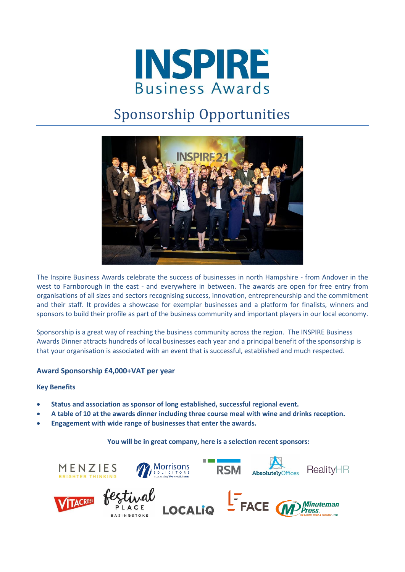

# Sponsorship Opportunities



The Inspire Business Awards celebrate the success of businesses in north Hampshire - from Andover in the west to Farnborough in the east - and everywhere in between. The awards are open for free entry from organisations of all sizes and sectors recognising success, innovation, entrepreneurship and the commitment and their staff. It provides a showcase for exemplar businesses and a platform for finalists, winners and sponsors to build their profile as part of the business community and important players in our local economy.

Sponsorship is a great way of reaching the business community across the region. The INSPIRE Business Awards Dinner attracts hundreds of local businesses each year and a principal benefit of the sponsorship is that your organisation is associated with an event that is successful, established and much respected.

# **Award Sponsorship £4,000+VAT per year**

## **Key Benefits**

- **Status and association as sponsor of long established, successful regional event.**
- **A table of 10 at the awards dinner including three course meal with wine and drinks reception.**
- **Engagement with wide range of businesses that enter the awards.**

## **You will be in great company, here is a selection recent sponsors:**